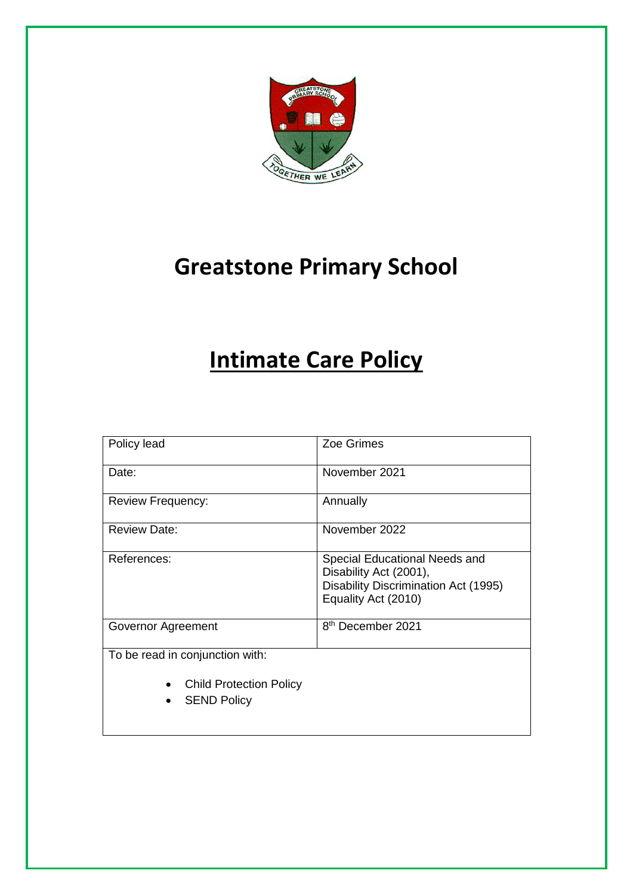

# **Greatstone Primary School**

# **Intimate Care Policy**

| Policy lead                                          | Zoe Grimes                                                                                                                    |  |
|------------------------------------------------------|-------------------------------------------------------------------------------------------------------------------------------|--|
| Date:                                                | November 2021                                                                                                                 |  |
| <b>Review Frequency:</b>                             | Annually                                                                                                                      |  |
| <b>Review Date:</b>                                  | November 2022                                                                                                                 |  |
| References:                                          | Special Educational Needs and<br>Disability Act (2001),<br><b>Disability Discrimination Act (1995)</b><br>Equality Act (2010) |  |
| Governor Agreement                                   | 8 <sup>th</sup> December 2021                                                                                                 |  |
| To be read in conjunction with:                      |                                                                                                                               |  |
| <b>Child Protection Policy</b><br><b>SEND Policy</b> |                                                                                                                               |  |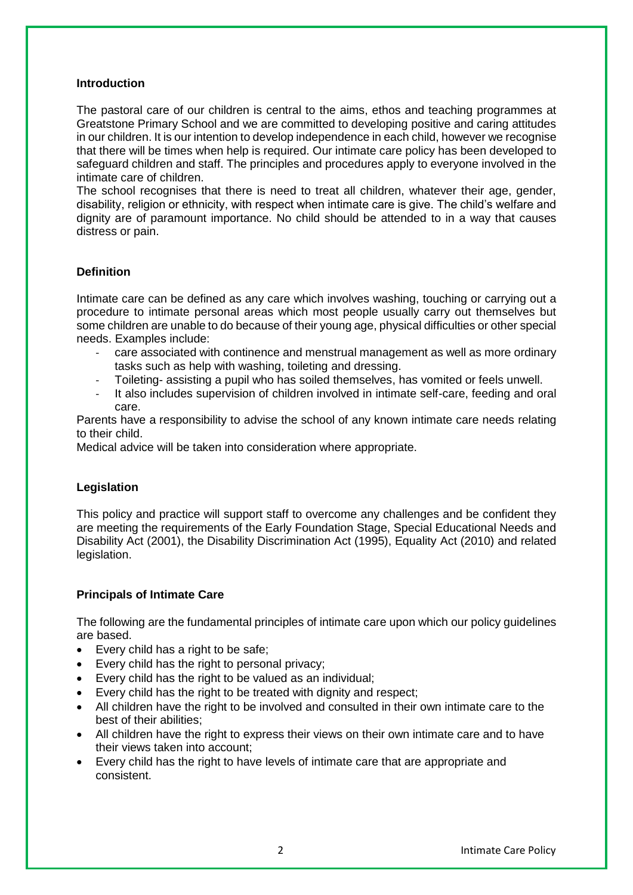#### **Introduction**

The pastoral care of our children is central to the aims, ethos and teaching programmes at Greatstone Primary School and we are committed to developing positive and caring attitudes in our children. It is our intention to develop independence in each child, however we recognise that there will be times when help is required. Our intimate care policy has been developed to safeguard children and staff. The principles and procedures apply to everyone involved in the intimate care of children.

The school recognises that there is need to treat all children, whatever their age, gender, disability, religion or ethnicity, with respect when intimate care is give. The child's welfare and dignity are of paramount importance. No child should be attended to in a way that causes distress or pain.

#### **Definition**

Intimate care can be defined as any care which involves washing, touching or carrying out a procedure to intimate personal areas which most people usually carry out themselves but some children are unable to do because of their young age, physical difficulties or other special needs. Examples include:

- care associated with continence and menstrual management as well as more ordinary tasks such as help with washing, toileting and dressing.
- Toileting- assisting a pupil who has soiled themselves, has vomited or feels unwell.
- It also includes supervision of children involved in intimate self-care, feeding and oral care.

Parents have a responsibility to advise the school of any known intimate care needs relating to their child.

Medical advice will be taken into consideration where appropriate.

#### **Legislation**

This policy and practice will support staff to overcome any challenges and be confident they are meeting the requirements of the Early Foundation Stage, Special Educational Needs and Disability Act (2001), the Disability Discrimination Act (1995), Equality Act (2010) and related legislation.

#### **Principals of Intimate Care**

The following are the fundamental principles of intimate care upon which our policy guidelines are based.

- Every child has a right to be safe:
- Every child has the right to personal privacy;
- Every child has the right to be valued as an individual;
- Every child has the right to be treated with dignity and respect;
- All children have the right to be involved and consulted in their own intimate care to the best of their abilities;
- All children have the right to express their views on their own intimate care and to have their views taken into account;
- Every child has the right to have levels of intimate care that are appropriate and consistent.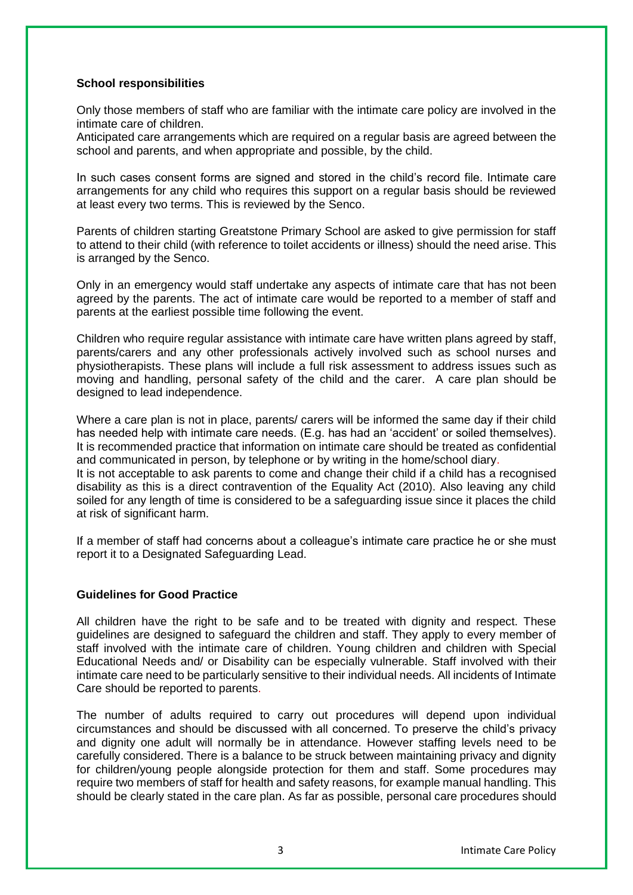#### **School responsibilities**

Only those members of staff who are familiar with the intimate care policy are involved in the intimate care of children.

Anticipated care arrangements which are required on a regular basis are agreed between the school and parents, and when appropriate and possible, by the child.

In such cases consent forms are signed and stored in the child's record file. Intimate care arrangements for any child who requires this support on a regular basis should be reviewed at least every two terms. This is reviewed by the Senco.

Parents of children starting Greatstone Primary School are asked to give permission for staff to attend to their child (with reference to toilet accidents or illness) should the need arise. This is arranged by the Senco.

Only in an emergency would staff undertake any aspects of intimate care that has not been agreed by the parents. The act of intimate care would be reported to a member of staff and parents at the earliest possible time following the event.

Children who require regular assistance with intimate care have written plans agreed by staff, parents/carers and any other professionals actively involved such as school nurses and physiotherapists. These plans will include a full risk assessment to address issues such as moving and handling, personal safety of the child and the carer. A care plan should be designed to lead independence.

Where a care plan is not in place, parents/ carers will be informed the same day if their child has needed help with intimate care needs. (E.g. has had an 'accident' or soiled themselves). It is recommended practice that information on intimate care should be treated as confidential and communicated in person, by telephone or by writing in the home/school diary.

It is not acceptable to ask parents to come and change their child if a child has a recognised disability as this is a direct contravention of the Equality Act (2010). Also leaving any child soiled for any length of time is considered to be a safeguarding issue since it places the child at risk of significant harm.

If a member of staff had concerns about a colleague's intimate care practice he or she must report it to a Designated Safeguarding Lead.

#### **Guidelines for Good Practice**

All children have the right to be safe and to be treated with dignity and respect. These guidelines are designed to safeguard the children and staff. They apply to every member of staff involved with the intimate care of children. Young children and children with Special Educational Needs and/ or Disability can be especially vulnerable. Staff involved with their intimate care need to be particularly sensitive to their individual needs. All incidents of Intimate Care should be reported to parents.

The number of adults required to carry out procedures will depend upon individual circumstances and should be discussed with all concerned. To preserve the child's privacy and dignity one adult will normally be in attendance. However staffing levels need to be carefully considered. There is a balance to be struck between maintaining privacy and dignity for children/young people alongside protection for them and staff. Some procedures may require two members of staff for health and safety reasons, for example manual handling. This should be clearly stated in the care plan. As far as possible, personal care procedures should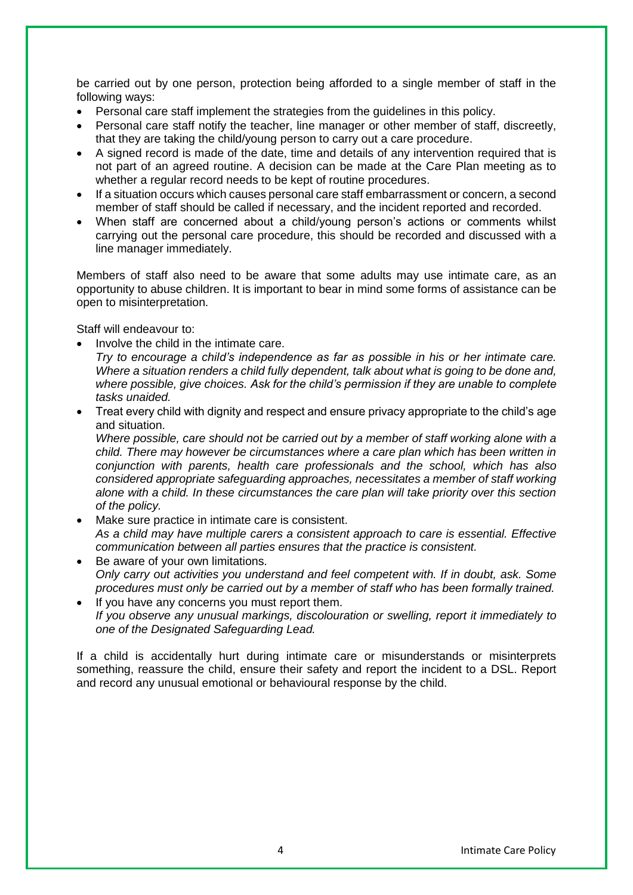be carried out by one person, protection being afforded to a single member of staff in the following ways:

- Personal care staff implement the strategies from the guidelines in this policy.
- Personal care staff notify the teacher, line manager or other member of staff, discreetly, that they are taking the child/young person to carry out a care procedure.
- A signed record is made of the date, time and details of any intervention required that is not part of an agreed routine. A decision can be made at the Care Plan meeting as to whether a regular record needs to be kept of routine procedures.
- If a situation occurs which causes personal care staff embarrassment or concern, a second member of staff should be called if necessary, and the incident reported and recorded.
- When staff are concerned about a child/young person's actions or comments whilst carrying out the personal care procedure, this should be recorded and discussed with a line manager immediately.

Members of staff also need to be aware that some adults may use intimate care, as an opportunity to abuse children. It is important to bear in mind some forms of assistance can be open to misinterpretation.

Staff will endeavour to:

- Involve the child in the intimate care.
	- *Try to encourage a child's independence as far as possible in his or her intimate care. Where a situation renders a child fully dependent, talk about what is going to be done and, where possible, give choices. Ask for the child's permission if they are unable to complete tasks unaided.*
- Treat every child with dignity and respect and ensure privacy appropriate to the child's age and situation.

*Where possible, care should not be carried out by a member of staff working alone with a child. There may however be circumstances where a care plan which has been written in conjunction with parents, health care professionals and the school, which has also considered appropriate safeguarding approaches, necessitates a member of staff working alone with a child. In these circumstances the care plan will take priority over this section of the policy.*

- Make sure practice in intimate care is consistent. *As a child may have multiple carers a consistent approach to care is essential. Effective communication between all parties ensures that the practice is consistent.*
- Be aware of your own limitations. *Only carry out activities you understand and feel competent with. If in doubt, ask. Some procedures must only be carried out by a member of staff who has been formally trained.*
- If you have any concerns you must report them. *If you observe any unusual markings, discolouration or swelling, report it immediately to one of the Designated Safeguarding Lead.*

If a child is accidentally hurt during intimate care or misunderstands or misinterprets something, reassure the child, ensure their safety and report the incident to a DSL. Report and record any unusual emotional or behavioural response by the child.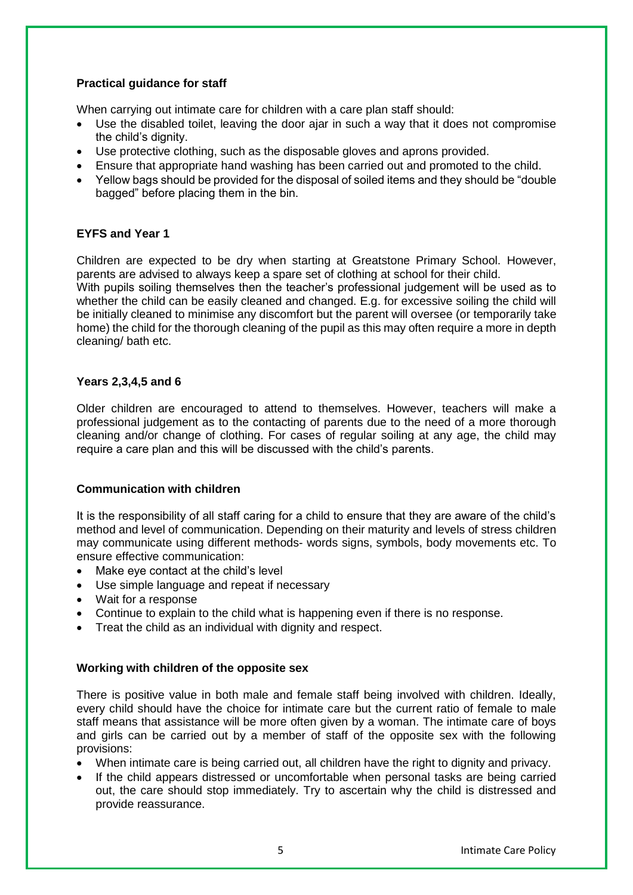#### **Practical guidance for staff**

When carrying out intimate care for children with a care plan staff should:

- Use the disabled toilet, leaving the door ajar in such a way that it does not compromise the child's dignity.
- Use protective clothing, such as the disposable gloves and aprons provided.
- Ensure that appropriate hand washing has been carried out and promoted to the child.
- Yellow bags should be provided for the disposal of soiled items and they should be "double" bagged" before placing them in the bin.

#### **EYFS and Year 1**

Children are expected to be dry when starting at Greatstone Primary School. However, parents are advised to always keep a spare set of clothing at school for their child.

With pupils soiling themselves then the teacher's professional judgement will be used as to whether the child can be easily cleaned and changed. E.g. for excessive soiling the child will be initially cleaned to minimise any discomfort but the parent will oversee (or temporarily take home) the child for the thorough cleaning of the pupil as this may often require a more in depth cleaning/ bath etc.

#### **Years 2,3,4,5 and 6**

Older children are encouraged to attend to themselves. However, teachers will make a professional judgement as to the contacting of parents due to the need of a more thorough cleaning and/or change of clothing. For cases of regular soiling at any age, the child may require a care plan and this will be discussed with the child's parents.

#### **Communication with children**

It is the responsibility of all staff caring for a child to ensure that they are aware of the child's method and level of communication. Depending on their maturity and levels of stress children may communicate using different methods- words signs, symbols, body movements etc. To ensure effective communication:

- Make eye contact at the child's level
- Use simple language and repeat if necessary
- Wait for a response
- Continue to explain to the child what is happening even if there is no response.
- Treat the child as an individual with dignity and respect.

#### **Working with children of the opposite sex**

There is positive value in both male and female staff being involved with children. Ideally, every child should have the choice for intimate care but the current ratio of female to male staff means that assistance will be more often given by a woman. The intimate care of boys and girls can be carried out by a member of staff of the opposite sex with the following provisions:

- When intimate care is being carried out, all children have the right to dignity and privacy.
- If the child appears distressed or uncomfortable when personal tasks are being carried out, the care should stop immediately. Try to ascertain why the child is distressed and provide reassurance.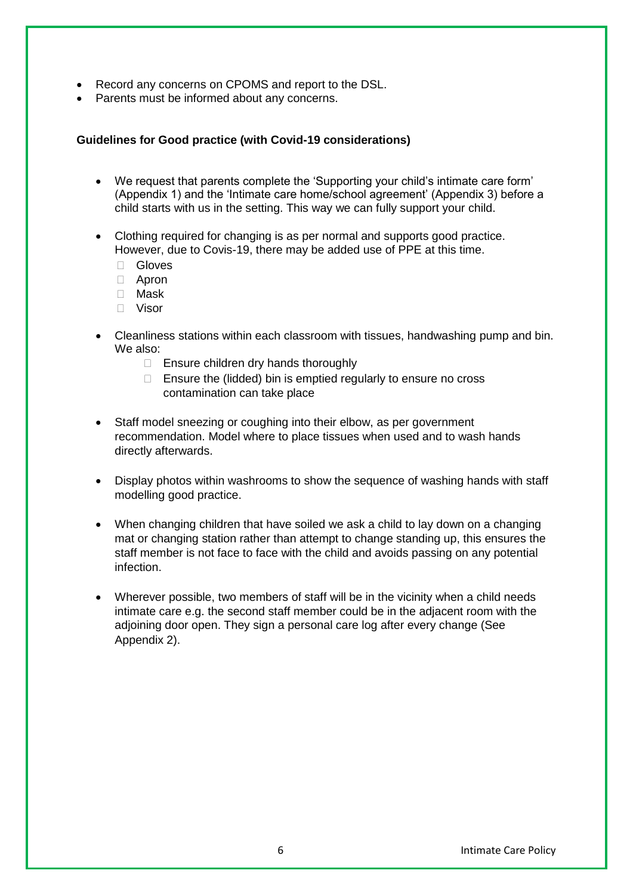- Record any concerns on CPOMS and report to the DSL.
- Parents must be informed about any concerns.

#### **Guidelines for Good practice (with Covid-19 considerations)**

- We request that parents complete the 'Supporting your child's intimate care form' (Appendix 1) and the 'Intimate care home/school agreement' (Appendix 3) before a child starts with us in the setting. This way we can fully support your child.
- Clothing required for changing is as per normal and supports good practice. However, due to Covis-19, there may be added use of PPE at this time.
	- Gloves
	- Apron
	- Mask
	- Visor
- Cleanliness stations within each classroom with tissues, handwashing pump and bin. We also:
	- $\Box$  Ensure children dry hands thoroughly
	- $\Box$  Ensure the (lidded) bin is emptied regularly to ensure no cross contamination can take place
- Staff model sneezing or coughing into their elbow, as per government recommendation. Model where to place tissues when used and to wash hands directly afterwards.
- Display photos within washrooms to show the sequence of washing hands with staff modelling good practice.
- When changing children that have soiled we ask a child to lay down on a changing mat or changing station rather than attempt to change standing up, this ensures the staff member is not face to face with the child and avoids passing on any potential infection.
- Wherever possible, two members of staff will be in the vicinity when a child needs intimate care e.g. the second staff member could be in the adjacent room with the adjoining door open. They sign a personal care log after every change (See Appendix 2).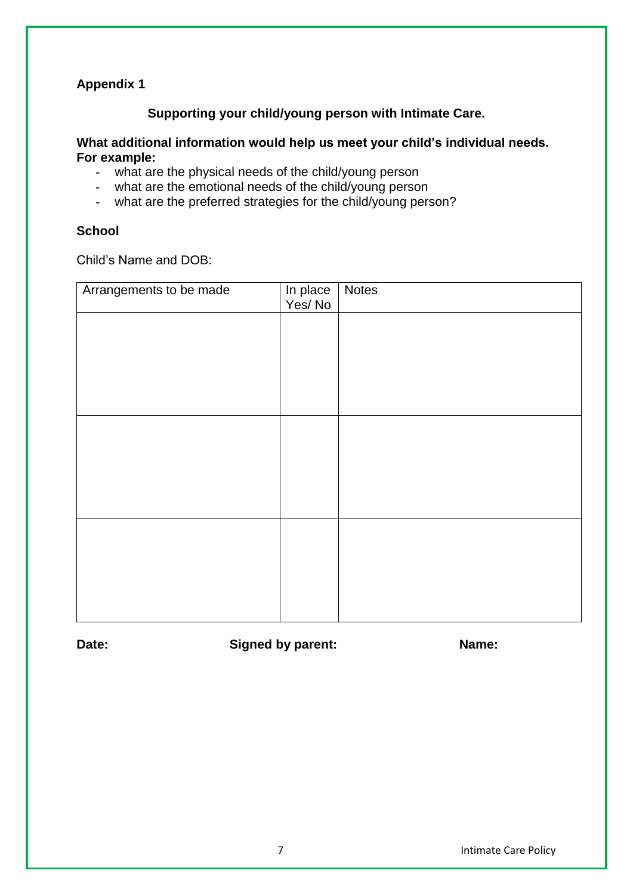# **Appendix 1**

## **Supporting your child/young person with Intimate Care.**

#### **What additional information would help us meet your child's individual needs. For example:**

- what are the physical needs of the child/young person
- what are the emotional needs of the child/young person
- what are the preferred strategies for the child/young person?

#### **School**

Child's Name and DOB:

| Arrangements to be made | In place<br>Yes/No | <b>Notes</b> |
|-------------------------|--------------------|--------------|
|                         |                    |              |
|                         |                    |              |
|                         |                    |              |
|                         |                    |              |
|                         |                    |              |
|                         |                    |              |
|                         |                    |              |
|                         |                    |              |
|                         |                    |              |
|                         |                    |              |
|                         |                    |              |

**Date: Signed by parent: Name:**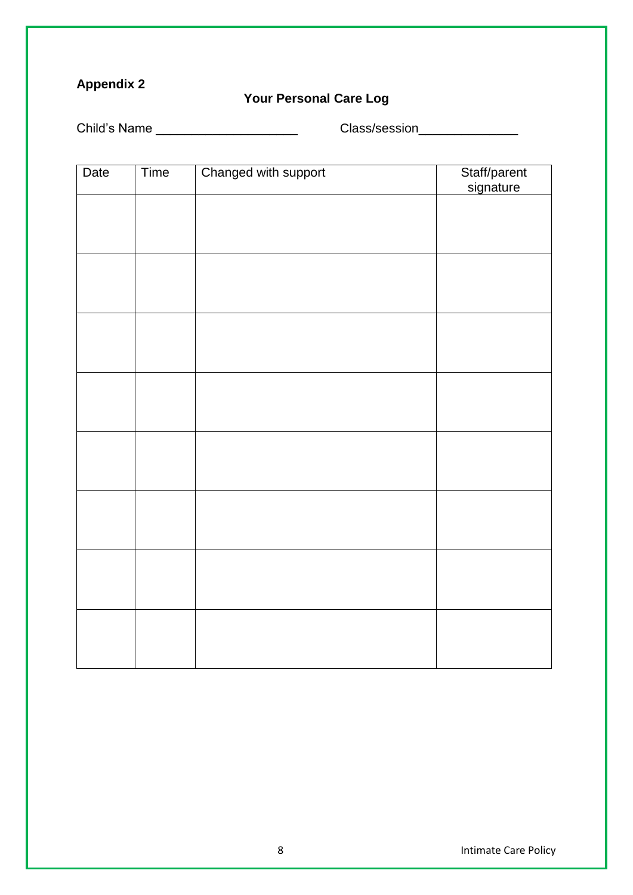# **Appendix 2**

# **Your Personal Care Log**

Child's Name \_\_\_\_\_\_\_\_\_\_\_\_\_\_\_\_\_\_\_\_\_\_\_\_\_\_\_\_\_\_\_\_\_Class/session\_\_\_\_\_\_\_\_\_\_\_\_\_\_\_\_\_\_\_\_\_

| Date | Time | Changed with support | Staff/parent<br>signature |
|------|------|----------------------|---------------------------|
|      |      |                      |                           |
|      |      |                      |                           |
|      |      |                      |                           |
|      |      |                      |                           |
|      |      |                      |                           |
|      |      |                      |                           |
|      |      |                      |                           |
|      |      |                      |                           |
|      |      |                      |                           |
|      |      |                      |                           |
|      |      |                      |                           |
|      |      |                      |                           |
|      |      |                      |                           |
|      |      |                      |                           |
|      |      |                      |                           |
|      |      |                      |                           |